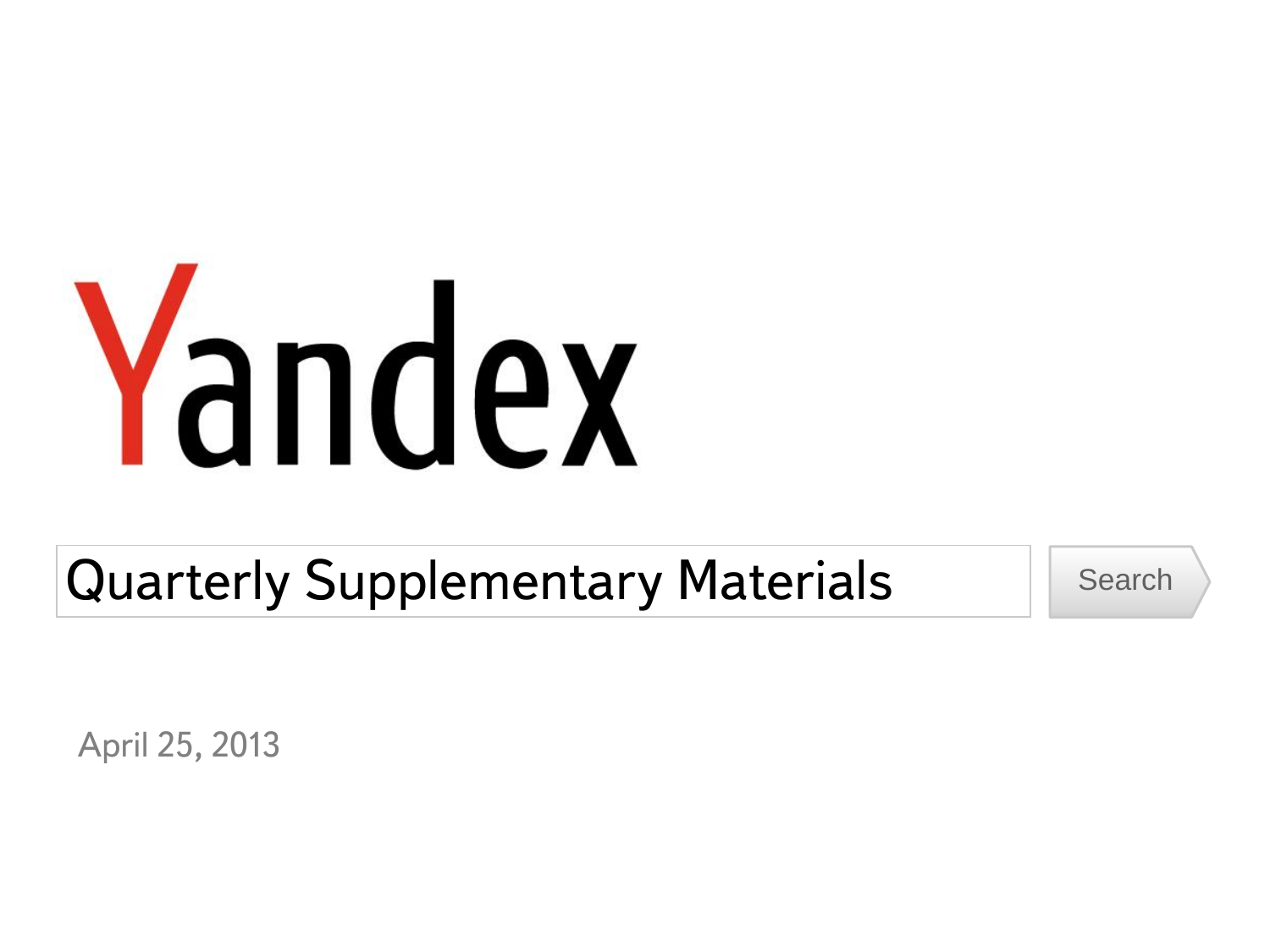# Yandex

Quarterly Supplementary Materials Search

April 25, 2013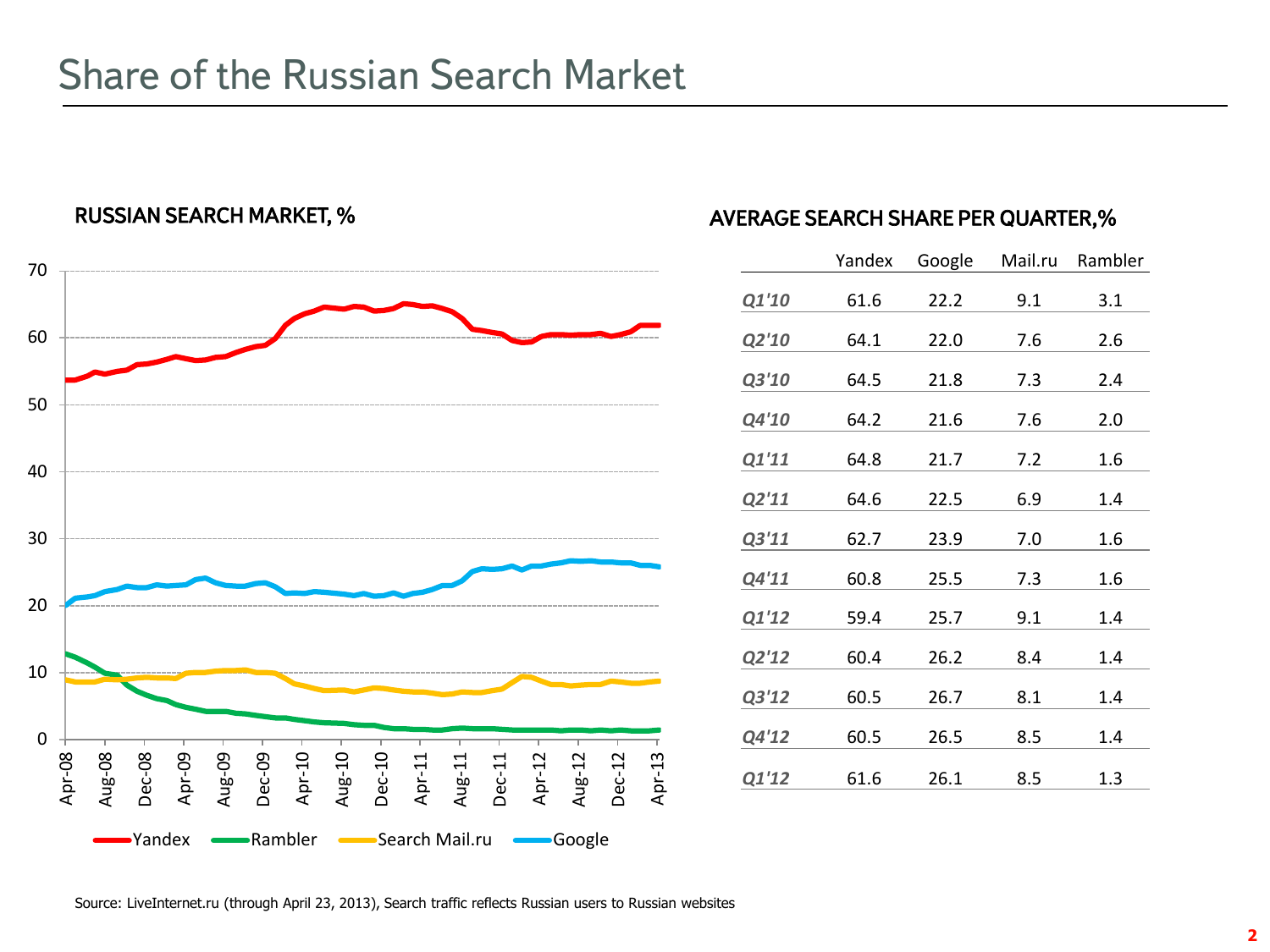## Share of the Russian Search Market



|       | Yandex | Google | Mail.ru | Rambler |  |  |
|-------|--------|--------|---------|---------|--|--|
| Q1'10 | 61.6   | 22.2   | 9.1     | 3.1     |  |  |
| Q2'10 | 64.1   | 22.0   | 7.6     | 2.6     |  |  |
| Q3'10 | 64.5   | 21.8   | 7.3     | 2.4     |  |  |
| Q4'10 | 64.2   | 21.6   | 7.6     | 2.0     |  |  |
| Q1'11 | 64.8   | 21.7   | 7.2     | 1.6     |  |  |
| Q2'11 | 64.6   | 22.5   | 6.9     | 1.4     |  |  |
| Q3'11 | 62.7   | 23.9   | 7.0     | 1.6     |  |  |
| Q4'11 | 60.8   | 25.5   | 7.3     | 1.6     |  |  |
| Q1'12 | 59.4   | 25.7   | 9.1     | 1.4     |  |  |
| Q2'12 | 60.4   | 26.2   | 8.4     | 1.4     |  |  |
| Q3'12 | 60.5   | 26.7   | 8.1     | 1.4     |  |  |
| Q4'12 | 60.5   | 26.5   | 8.5     | 1.4     |  |  |
| Q1'12 | 61.6   | 26.1   | 8.5     | 1.3     |  |  |

Source: LiveInternet.ru (through April 23, 2013), Search traffic reflects Russian users to Russian websites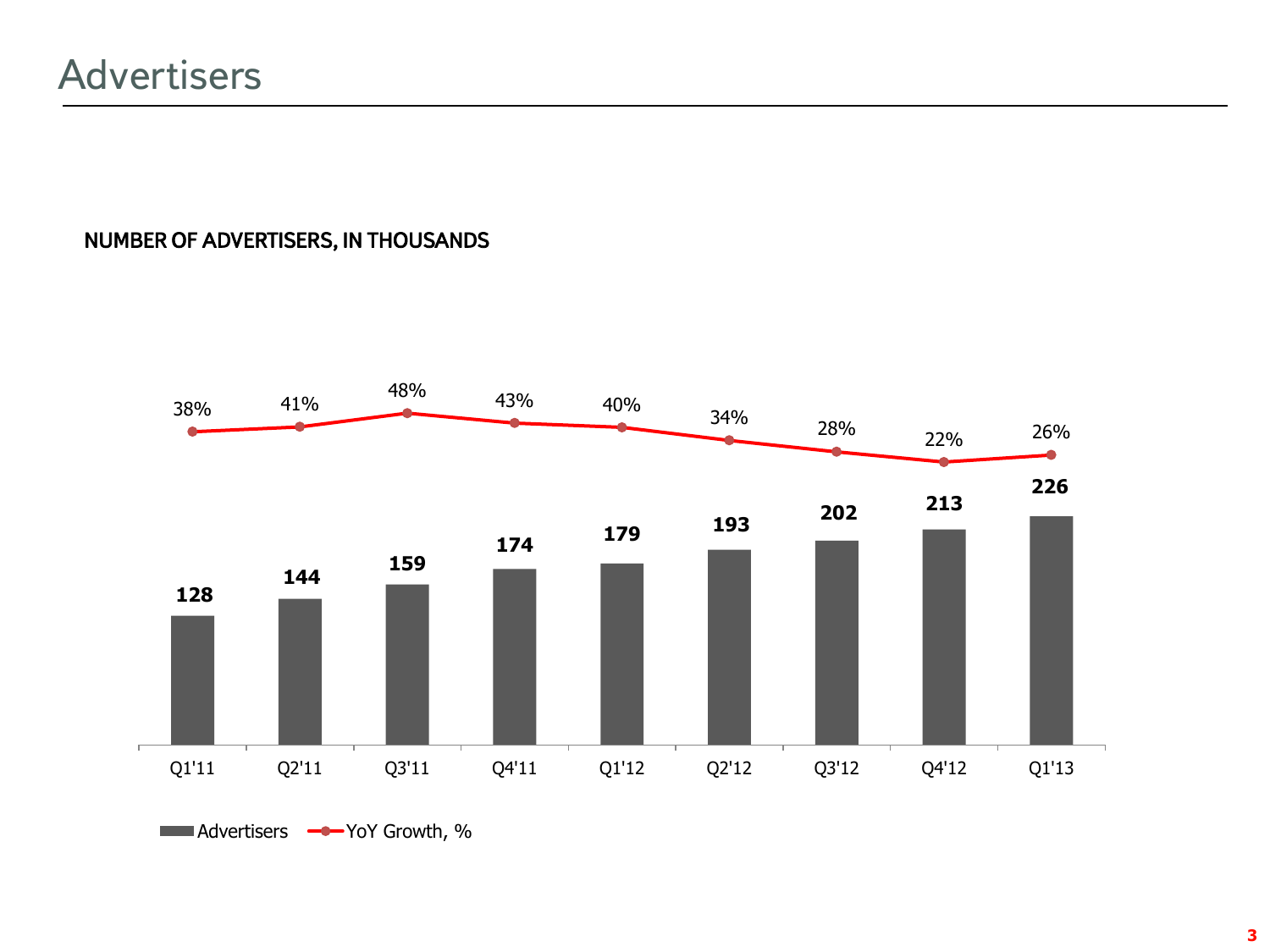## NUMBER OF ADVERTISERS, IN THOUSANDS

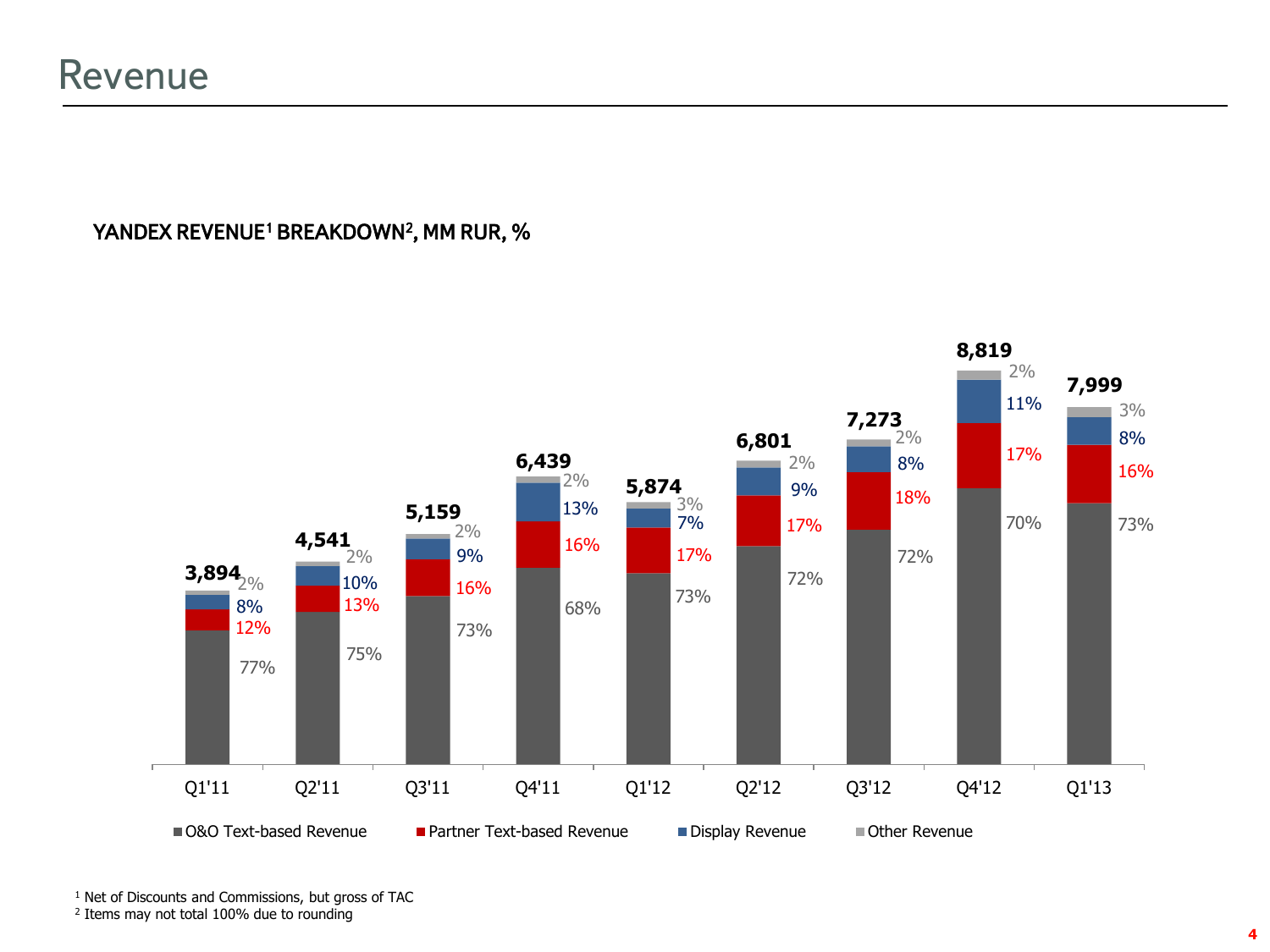### YANDEX REVENUE<sup>1</sup> BREAKDOWN<sup>2</sup>, MM RUR, %



<sup>1</sup> Net of Discounts and Commissions, but gross of TAC

2 Items may not total 100% due to rounding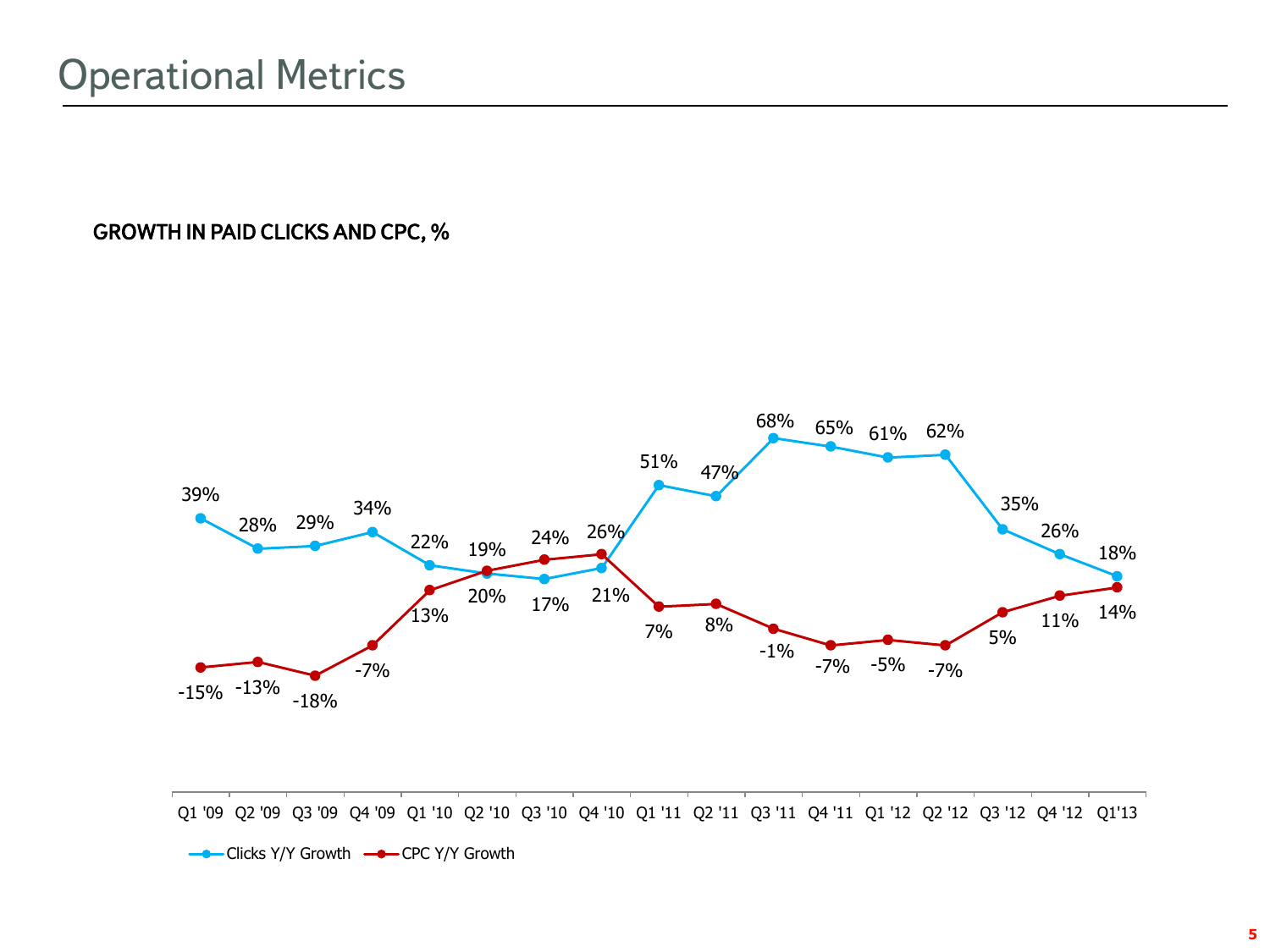### GROWTH IN PAID CLICKS AND CPC, %



Clicks Y/Y Growth - CPC Y/Y Growth

**5**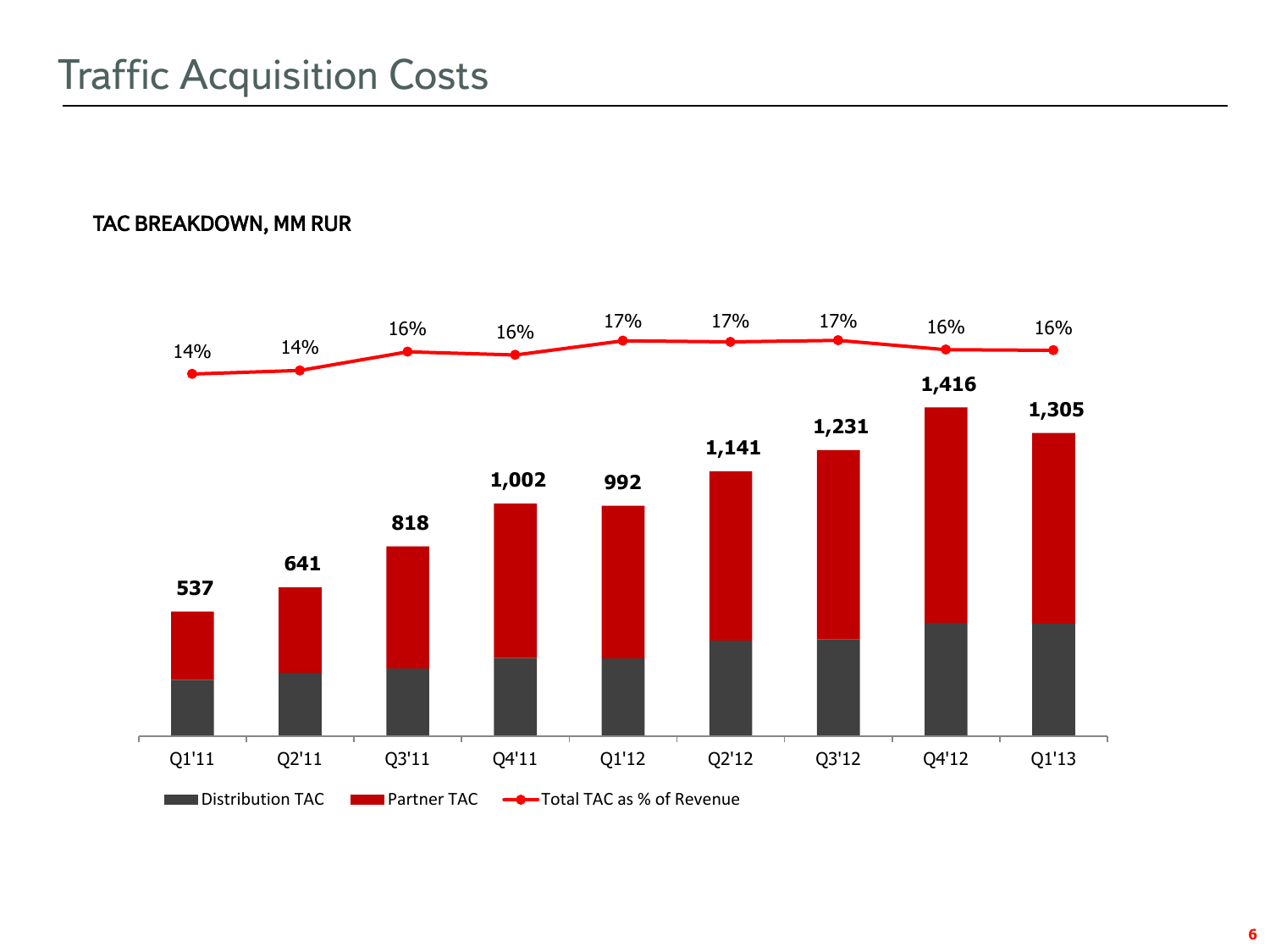### TAC BREAKDOWN, MM RUR

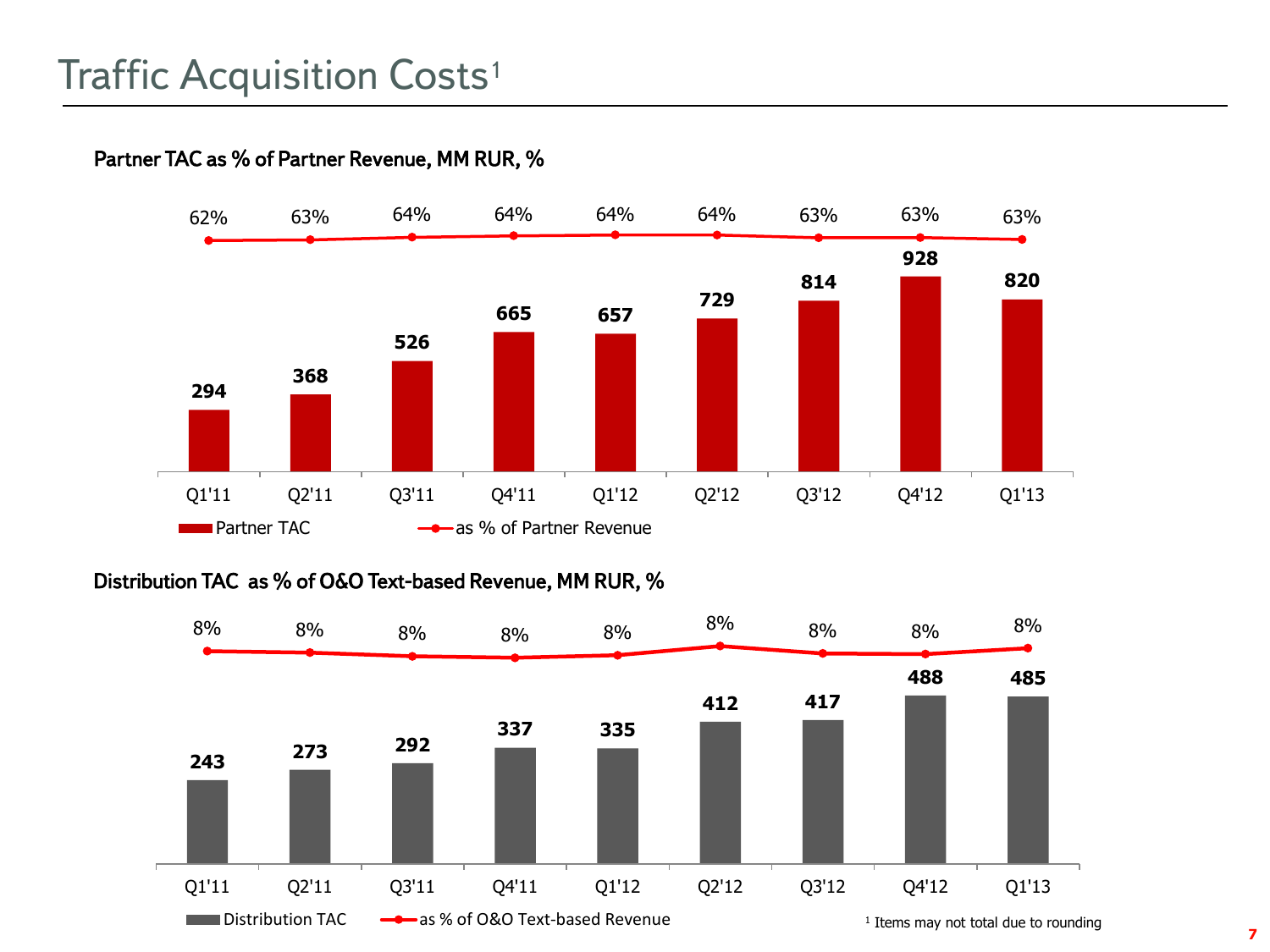



Distribution TAC as % of O&O Text-based Revenue, MM RUR, %

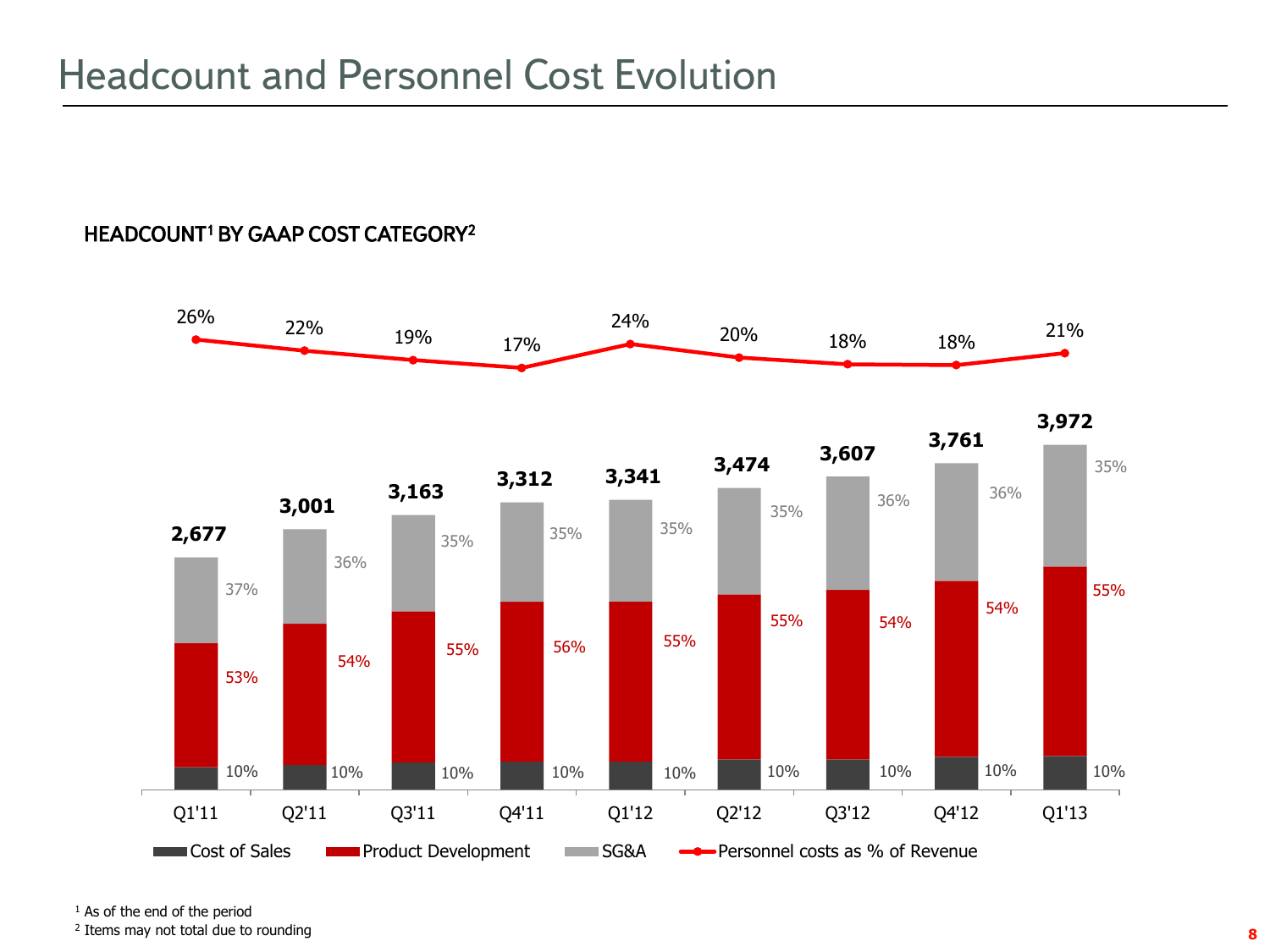### HEADCOUNT<sup>1</sup> BY GAAP COST CATEGORY<sup>2</sup>



<sup>1</sup> As of the end of the period

2 Items may not total due to rounding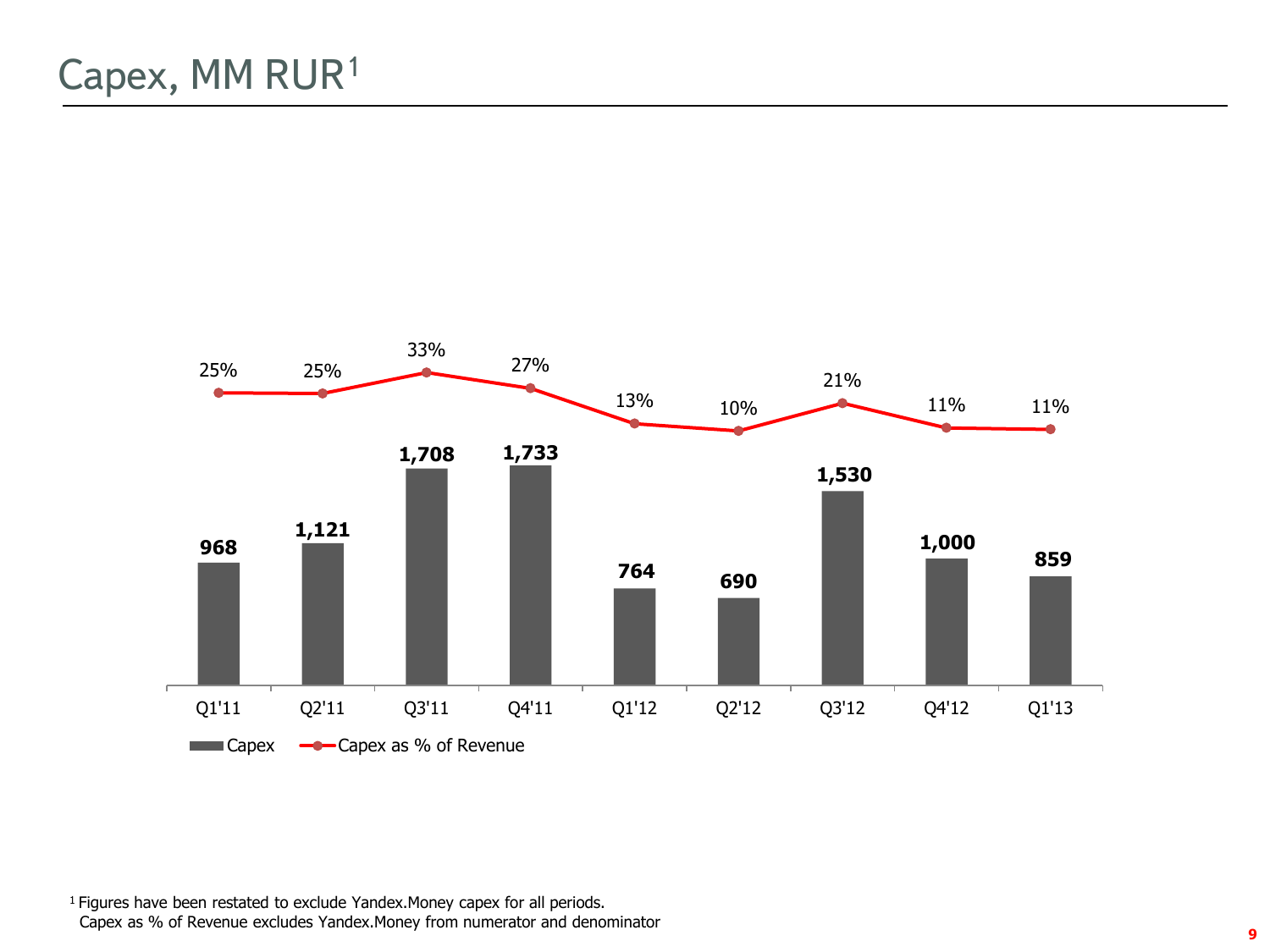

<sup>1</sup> Figures have been restated to exclude Yandex. Money capex for all periods. Capex as % of Revenue excludes Yandex.Money from numerator and denominator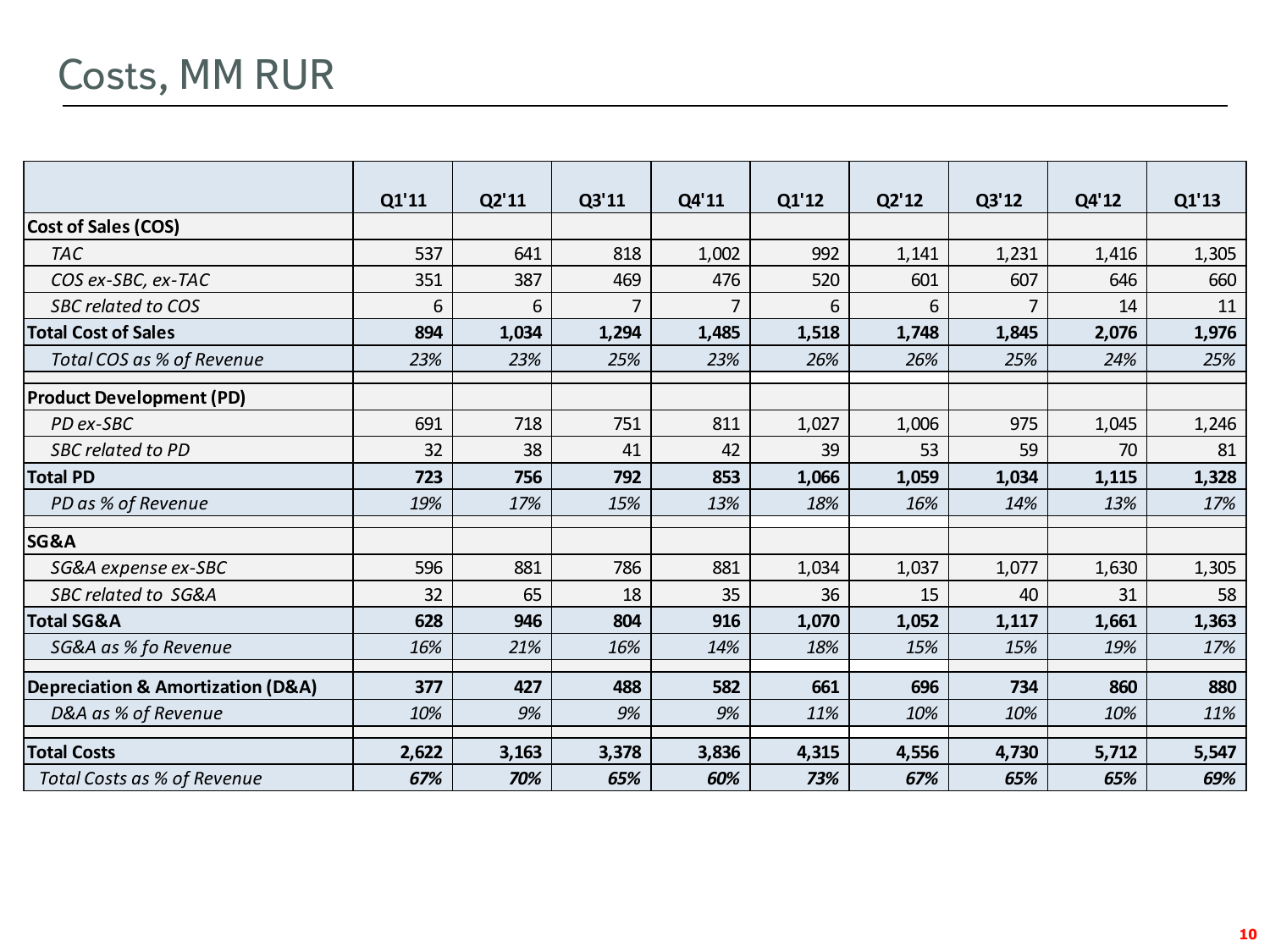# Costs, MM RUR

|                                   | Q1'11 | Q2'11 | Q3'11 | Q4'11 | Q1'12 | Q2'12 | Q3'12 | Q4'12 | Q1'13 |
|-----------------------------------|-------|-------|-------|-------|-------|-------|-------|-------|-------|
| <b>Cost of Sales (COS)</b>        |       |       |       |       |       |       |       |       |       |
| <b>TAC</b>                        | 537   | 641   | 818   | 1,002 | 992   | 1,141 | 1,231 | 1,416 | 1,305 |
| COS ex-SBC, ex-TAC                | 351   | 387   | 469   | 476   | 520   | 601   | 607   | 646   | 660   |
| <b>SBC related to COS</b>         | 6     | 6     | 7     | 7     | 6     | 6     | 7     | 14    | 11    |
| <b>Total Cost of Sales</b>        | 894   | 1,034 | 1,294 | 1,485 | 1,518 | 1,748 | 1,845 | 2,076 | 1,976 |
| Total COS as % of Revenue         | 23%   | 23%   | 25%   | 23%   | 26%   | 26%   | 25%   | 24%   | 25%   |
| <b>Product Development (PD)</b>   |       |       |       |       |       |       |       |       |       |
| PD ex-SBC                         | 691   | 718   | 751   | 811   | 1,027 | 1,006 | 975   | 1,045 | 1,246 |
| SBC related to PD                 | 32    | 38    | 41    | 42    | 39    | 53    | 59    | 70    | 81    |
| <b>Total PD</b>                   | 723   | 756   | 792   | 853   | 1,066 | 1,059 | 1,034 | 1,115 | 1,328 |
| PD as % of Revenue                | 19%   | 17%   | 15%   | 13%   | 18%   | 16%   | 14%   | 13%   | 17%   |
| SG&A                              |       |       |       |       |       |       |       |       |       |
| SG&A expense ex-SBC               | 596   | 881   | 786   | 881   | 1,034 | 1,037 | 1,077 | 1,630 | 1,305 |
| <b>SBC related to SG&amp;A</b>    | 32    | 65    | 18    | 35    | 36    | 15    | 40    | 31    | 58    |
| <b>Total SG&amp;A</b>             | 628   | 946   | 804   | 916   | 1,070 | 1,052 | 1,117 | 1,661 | 1,363 |
| SG&A as % fo Revenue              | 16%   | 21%   | 16%   | 14%   | 18%   | 15%   | 15%   | 19%   | 17%   |
| Depreciation & Amortization (D&A) | 377   | 427   | 488   | 582   | 661   | 696   | 734   | 860   | 880   |
| D&A as % of Revenue               | 10%   | 9%    | 9%    | 9%    | 11%   | 10%   | 10%   | 10%   | 11%   |
| <b>Total Costs</b>                | 2,622 | 3,163 | 3,378 | 3,836 | 4,315 | 4,556 | 4,730 | 5,712 | 5,547 |
| Total Costs as % of Revenue       | 67%   | 70%   | 65%   | 60%   | 73%   | 67%   | 65%   | 65%   | 69%   |